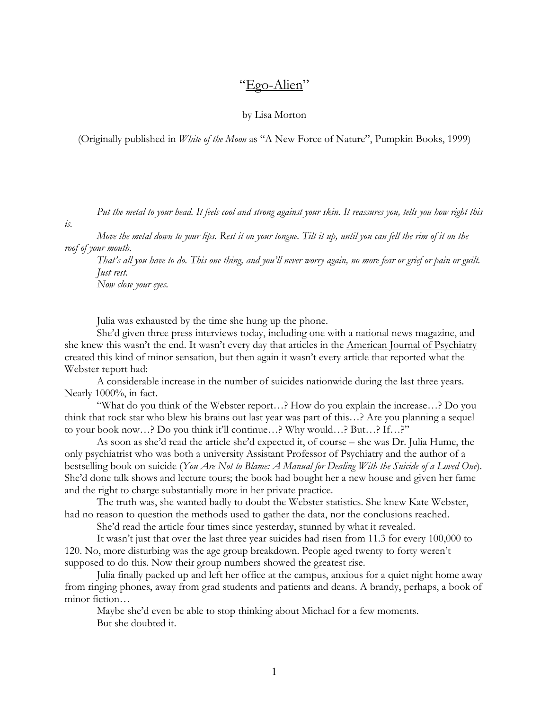## "Ego-Alien"

by Lisa Morton

(Originally published in *White of the Moon* as "A New Force of Nature", Pumpkin Books, 1999)

Put the metal to your head. It feels cool and strong against your skin. It reassures you, tells you how right this

is.

 Move the metal down to your lips. Rest it on your tongue. Tilt it up, until you can fell the rim of it on the roof of your mouth.

 That's all you have to do. This one thing, and you'll never worry again, no more fear or grief or pain or guilt. Just rest.

Now close your eyes.

Julia was exhausted by the time she hung up the phone.

 She'd given three press interviews today, including one with a national news magazine, and she knew this wasn't the end. It wasn't every day that articles in the American Journal of Psychiatry created this kind of minor sensation, but then again it wasn't every article that reported what the Webster report had:

 A considerable increase in the number of suicides nationwide during the last three years. Nearly 1000%, in fact.

 "What do you think of the Webster report…? How do you explain the increase…? Do you think that rock star who blew his brains out last year was part of this…? Are you planning a sequel to your book now…? Do you think it'll continue…? Why would…? But…? If…?"

 As soon as she'd read the article she'd expected it, of course – she was Dr. Julia Hume, the only psychiatrist who was both a university Assistant Professor of Psychiatry and the author of a bestselling book on suicide (You Are Not to Blame: A Manual for Dealing With the Suicide of a Loved One). She'd done talk shows and lecture tours; the book had bought her a new house and given her fame and the right to charge substantially more in her private practice.

 The truth was, she wanted badly to doubt the Webster statistics. She knew Kate Webster, had no reason to question the methods used to gather the data, nor the conclusions reached.

She'd read the article four times since yesterday, stunned by what it revealed.

 It wasn't just that over the last three year suicides had risen from 11.3 for every 100,000 to 120. No, more disturbing was the age group breakdown. People aged twenty to forty weren't supposed to do this. Now their group numbers showed the greatest rise.

 Julia finally packed up and left her office at the campus, anxious for a quiet night home away from ringing phones, away from grad students and patients and deans. A brandy, perhaps, a book of minor fiction…

 Maybe she'd even be able to stop thinking about Michael for a few moments. But she doubted it.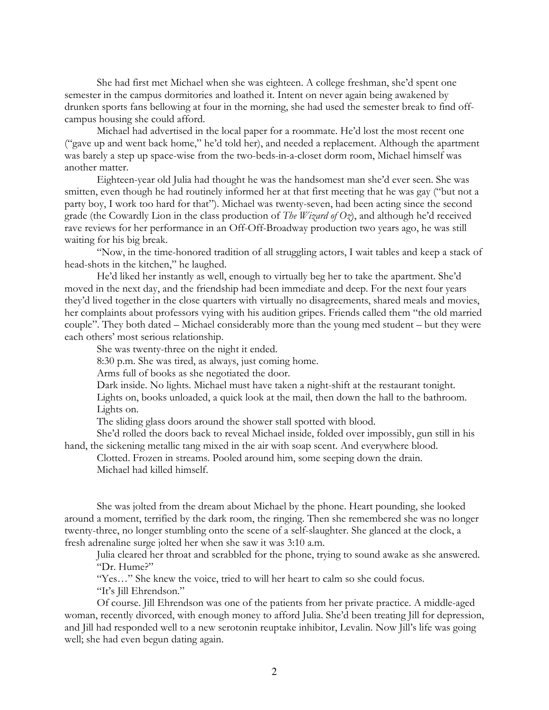She had first met Michael when she was eighteen. A college freshman, she'd spent one semester in the campus dormitories and loathed it. Intent on never again being awakened by drunken sports fans bellowing at four in the morning, she had used the semester break to find offcampus housing she could afford.

 Michael had advertised in the local paper for a roommate. He'd lost the most recent one ("gave up and went back home," he'd told her), and needed a replacement. Although the apartment was barely a step up space-wise from the two-beds-in-a-closet dorm room, Michael himself was another matter.

 Eighteen-year old Julia had thought he was the handsomest man she'd ever seen. She was smitten, even though he had routinely informed her at that first meeting that he was gay ("but not a party boy, I work too hard for that"). Michael was twenty-seven, had been acting since the second grade (the Cowardly Lion in the class production of The Wizard of Oz), and although he'd received rave reviews for her performance in an Off-Off-Broadway production two years ago, he was still waiting for his big break.

 "Now, in the time-honored tradition of all struggling actors, I wait tables and keep a stack of head-shots in the kitchen," he laughed.

 He'd liked her instantly as well, enough to virtually beg her to take the apartment. She'd moved in the next day, and the friendship had been immediate and deep. For the next four years they'd lived together in the close quarters with virtually no disagreements, shared meals and movies, her complaints about professors vying with his audition gripes. Friends called them "the old married couple". They both dated – Michael considerably more than the young med student – but they were each others' most serious relationship.

She was twenty-three on the night it ended.

8:30 p.m. She was tired, as always, just coming home.

Arms full of books as she negotiated the door.

Dark inside. No lights. Michael must have taken a night-shift at the restaurant tonight.

 Lights on, books unloaded, a quick look at the mail, then down the hall to the bathroom. Lights on.

The sliding glass doors around the shower stall spotted with blood.

 She'd rolled the doors back to reveal Michael inside, folded over impossibly, gun still in his hand, the sickening metallic tang mixed in the air with soap scent. And everywhere blood.

 Clotted. Frozen in streams. Pooled around him, some seeping down the drain. Michael had killed himself.

 She was jolted from the dream about Michael by the phone. Heart pounding, she looked around a moment, terrified by the dark room, the ringing. Then she remembered she was no longer twenty-three, no longer stumbling onto the scene of a self-slaughter. She glanced at the clock, a fresh adrenaline surge jolted her when she saw it was 3:10 a.m.

 Julia cleared her throat and scrabbled for the phone, trying to sound awake as she answered. "Dr. Hume?"

"Yes…" She knew the voice, tried to will her heart to calm so she could focus.

"It's Jill Ehrendson."

 Of course. Jill Ehrendson was one of the patients from her private practice. A middle-aged woman, recently divorced, with enough money to afford Julia. She'd been treating Jill for depression, and Jill had responded well to a new serotonin reuptake inhibitor, Levalin. Now Jill's life was going well; she had even begun dating again.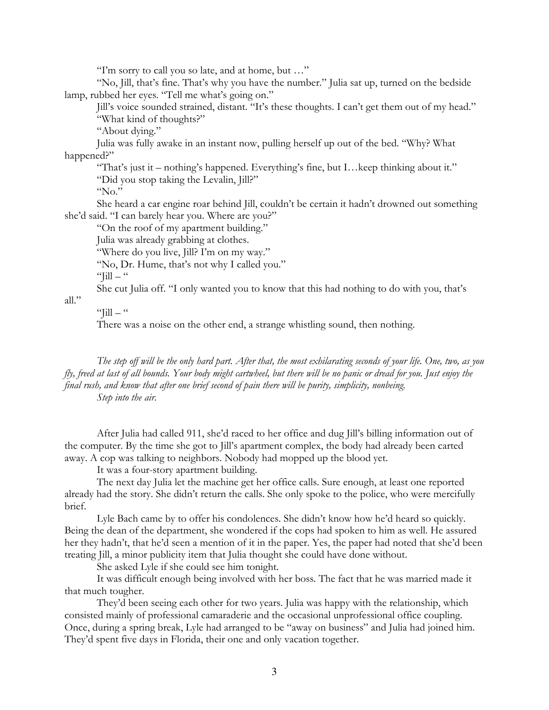"I'm sorry to call you so late, and at home, but …"

 "No, Jill, that's fine. That's why you have the number." Julia sat up, turned on the bedside lamp, rubbed her eyes. "Tell me what's going on."

 Jill's voice sounded strained, distant. "It's these thoughts. I can't get them out of my head." "What kind of thoughts?"

"About dying."

 Julia was fully awake in an instant now, pulling herself up out of the bed. "Why? What happened?"

 "That's just it – nothing's happened. Everything's fine, but I…keep thinking about it." "Did you stop taking the Levalin, Jill?"

"No."

 She heard a car engine roar behind Jill, couldn't be certain it hadn't drowned out something she'd said. "I can barely hear you. Where are you?"

"On the roof of my apartment building."

Julia was already grabbing at clothes.

"Where do you live, Jill? I'm on my way."

"No, Dr. Hume, that's not why I called you."

" $\text{full}$  – "

She cut Julia off. "I only wanted you to know that this had nothing to do with you, that's

all."

## " $\text{Fill} -$ "

There was a noise on the other end, a strange whistling sound, then nothing.

The step off will be the only hard part. After that, the most exhilarating seconds of your life. One, two, as you fly, freed at last of all bounds. Your body might cartwheel, but there will be no panic or dread for you. Just enjoy the final rush, and know that after one brief second of pain there will be purity, simplicity, nonbeing. Step into the air.

 After Julia had called 911, she'd raced to her office and dug Jill's billing information out of the computer. By the time she got to Jill's apartment complex, the body had already been carted away. A cop was talking to neighbors. Nobody had mopped up the blood yet.

It was a four-story apartment building.

 The next day Julia let the machine get her office calls. Sure enough, at least one reported already had the story. She didn't return the calls. She only spoke to the police, who were mercifully brief.

 Lyle Bach came by to offer his condolences. She didn't know how he'd heard so quickly. Being the dean of the department, she wondered if the cops had spoken to him as well. He assured her they hadn't, that he'd seen a mention of it in the paper. Yes, the paper had noted that she'd been treating Jill, a minor publicity item that Julia thought she could have done without.

She asked Lyle if she could see him tonight.

 It was difficult enough being involved with her boss. The fact that he was married made it that much tougher.

 They'd been seeing each other for two years. Julia was happy with the relationship, which consisted mainly of professional camaraderie and the occasional unprofessional office coupling. Once, during a spring break, Lyle had arranged to be "away on business" and Julia had joined him. They'd spent five days in Florida, their one and only vacation together.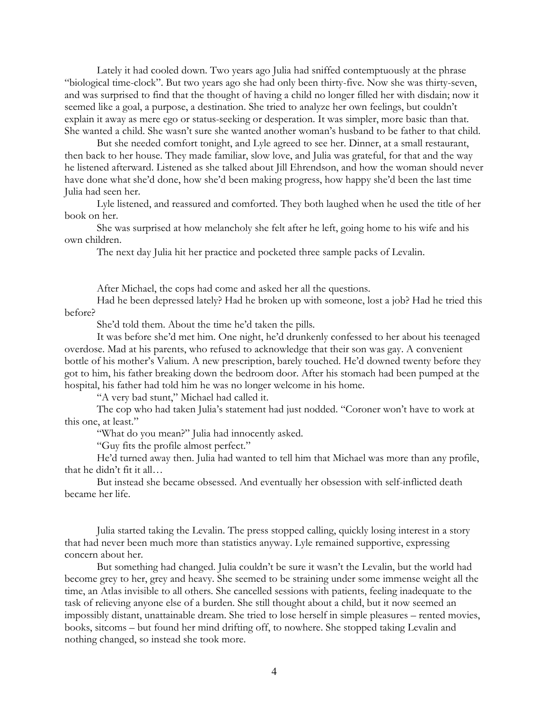Lately it had cooled down. Two years ago Julia had sniffed contemptuously at the phrase "biological time-clock". But two years ago she had only been thirty-five. Now she was thirty-seven, and was surprised to find that the thought of having a child no longer filled her with disdain; now it seemed like a goal, a purpose, a destination. She tried to analyze her own feelings, but couldn't explain it away as mere ego or status-seeking or desperation. It was simpler, more basic than that. She wanted a child. She wasn't sure she wanted another woman's husband to be father to that child.

 But she needed comfort tonight, and Lyle agreed to see her. Dinner, at a small restaurant, then back to her house. They made familiar, slow love, and Julia was grateful, for that and the way he listened afterward. Listened as she talked about Jill Ehrendson, and how the woman should never have done what she'd done, how she'd been making progress, how happy she'd been the last time Julia had seen her.

 Lyle listened, and reassured and comforted. They both laughed when he used the title of her book on her.

 She was surprised at how melancholy she felt after he left, going home to his wife and his own children.

The next day Julia hit her practice and pocketed three sample packs of Levalin.

After Michael, the cops had come and asked her all the questions.

 Had he been depressed lately? Had he broken up with someone, lost a job? Had he tried this before?

She'd told them. About the time he'd taken the pills.

 It was before she'd met him. One night, he'd drunkenly confessed to her about his teenaged overdose. Mad at his parents, who refused to acknowledge that their son was gay. A convenient bottle of his mother's Valium. A new prescription, barely touched. He'd downed twenty before they got to him, his father breaking down the bedroom door. After his stomach had been pumped at the hospital, his father had told him he was no longer welcome in his home.

"A very bad stunt," Michael had called it.

 The cop who had taken Julia's statement had just nodded. "Coroner won't have to work at this one, at least."

"What do you mean?" Julia had innocently asked.

"Guy fits the profile almost perfect."

 He'd turned away then. Julia had wanted to tell him that Michael was more than any profile, that he didn't fit it all…

 But instead she became obsessed. And eventually her obsession with self-inflicted death became her life.

 Julia started taking the Levalin. The press stopped calling, quickly losing interest in a story that had never been much more than statistics anyway. Lyle remained supportive, expressing concern about her.

 But something had changed. Julia couldn't be sure it wasn't the Levalin, but the world had become grey to her, grey and heavy. She seemed to be straining under some immense weight all the time, an Atlas invisible to all others. She cancelled sessions with patients, feeling inadequate to the task of relieving anyone else of a burden. She still thought about a child, but it now seemed an impossibly distant, unattainable dream. She tried to lose herself in simple pleasures – rented movies, books, sitcoms – but found her mind drifting off, to nowhere. She stopped taking Levalin and nothing changed, so instead she took more.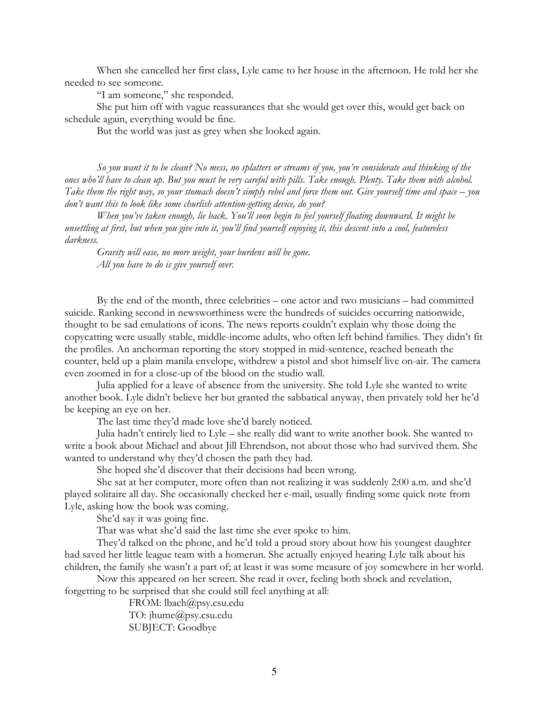When she cancelled her first class, Lyle came to her house in the afternoon. He told her she needed to see someone.

"I am someone," she responded.

 She put him off with vague reassurances that she would get over this, would get back on schedule again, everything would be fine.

But the world was just as grey when she looked again.

 So you want it to be clean? No mess, no splatters or streams of you, you're considerate and thinking of the ones who'll have to clean up. But you must be very careful with pills. Take enough. Plenty. Take them with alcohol. Take them the right way, so your stomach doesn't simply rebel and force them out. Give yourself time and space – you don't want this to look like some churlish attention-getting device, do you?

 When you've taken enough, lie back. You'll soon begin to feel yourself floating downward. It might be unsettling at first, but when you give into it, you'll find yourself enjoying it, this descent into a cool, featureless darkness.

 Gravity will ease, no more weight, your burdens will be gone. All you have to do is give yourself over.

 By the end of the month, three celebrities – one actor and two musicians – had committed suicide. Ranking second in newsworthiness were the hundreds of suicides occurring nationwide, thought to be sad emulations of icons. The news reports couldn't explain why those doing the copycatting were usually stable, middle-income adults, who often left behind families. They didn't fit the profiles. An anchorman reporting the story stopped in mid-sentence, reached beneath the counter, held up a plain manila envelope, withdrew a pistol and shot himself live on-air. The camera even zoomed in for a close-up of the blood on the studio wall.

 Julia applied for a leave of absence from the university. She told Lyle she wanted to write another book. Lyle didn't believe her but granted the sabbatical anyway, then privately told her he'd be keeping an eye on her.

The last time they'd made love she'd barely noticed.

 Julia hadn't entirely lied to Lyle – she really did want to write another book. She wanted to write a book about Michael and about Jill Ehrendson, not about those who had survived them. She wanted to understand why they'd chosen the path they had.

She hoped she'd discover that their decisions had been wrong.

 She sat at her computer, more often than not realizing it was suddenly 2:00 a.m. and she'd played solitaire all day. She occasionally checked her e-mail, usually finding some quick note from Lyle, asking how the book was coming.

She'd say it was going fine.

That was what she'd said the last time she ever spoke to him.

 They'd talked on the phone, and he'd told a proud story about how his youngest daughter had saved her little league team with a homerun. She actually enjoyed hearing Lyle talk about his children, the family she wasn't a part of; at least it was some measure of joy somewhere in her world.

 Now this appeared on her screen. She read it over, feeling both shock and revelation, forgetting to be surprised that she could still feel anything at all:

> FROM: lbach@psy.csu.edu TO: jhume@psy.csu.edu SUBJECT: Goodbye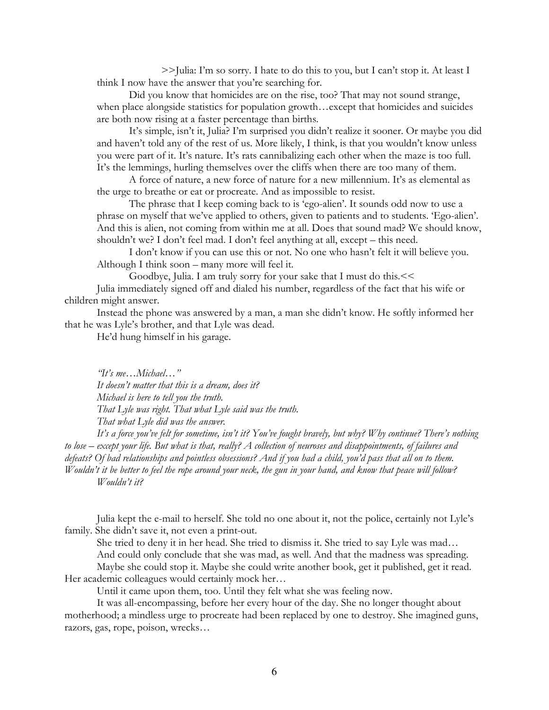>>Julia: I'm so sorry. I hate to do this to you, but I can't stop it. At least I think I now have the answer that you're searching for.

Did you know that homicides are on the rise, too? That may not sound strange, when place alongside statistics for population growth…except that homicides and suicides are both now rising at a faster percentage than births.

It's simple, isn't it, Julia? I'm surprised you didn't realize it sooner. Or maybe you did and haven't told any of the rest of us. More likely, I think, is that you wouldn't know unless you were part of it. It's nature. It's rats cannibalizing each other when the maze is too full. It's the lemmings, hurling themselves over the cliffs when there are too many of them.

A force of nature, a new force of nature for a new millennium. It's as elemental as the urge to breathe or eat or procreate. And as impossible to resist.

The phrase that I keep coming back to is 'ego-alien'. It sounds odd now to use a phrase on myself that we've applied to others, given to patients and to students. 'Ego-alien'. And this is alien, not coming from within me at all. Does that sound mad? We should know, shouldn't we? I don't feel mad. I don't feel anything at all, except – this need.

I don't know if you can use this or not. No one who hasn't felt it will believe you. Although I think soon – many more will feel it.

Goodbye, Julia. I am truly sorry for your sake that I must do this.<<

 Julia immediately signed off and dialed his number, regardless of the fact that his wife or children might answer.

 Instead the phone was answered by a man, a man she didn't know. He softly informed her that he was Lyle's brother, and that Lyle was dead.

He'd hung himself in his garage.

"It's me…Michael…"

It doesn't matter that this is a dream, does it? Michael is here to tell you the truth. That Lyle was right. That what Lyle said was the truth. That what Lyle did was the answer.

It's a force you've felt for sometime, isn't it? You've fought bravely, but why? Why continue? There's nothing to lose – except your life. But what is that, really? A collection of neuroses and disappointments, of failures and defeats? Of bad relationships and pointless obsessions? And if you had a child, you'd pass that all on to them. Wouldn't it be better to feel the rope around your neck, the gun in your hand, and know that peace will follow? Wouldn't it?

 Julia kept the e-mail to herself. She told no one about it, not the police, certainly not Lyle's family. She didn't save it, not even a print-out.

 She tried to deny it in her head. She tried to dismiss it. She tried to say Lyle was mad… And could only conclude that she was mad, as well. And that the madness was spreading. Maybe she could stop it. Maybe she could write another book, get it published, get it read.

Her academic colleagues would certainly mock her...

Until it came upon them, too. Until they felt what she was feeling now.

 It was all-encompassing, before her every hour of the day. She no longer thought about motherhood; a mindless urge to procreate had been replaced by one to destroy. She imagined guns, razors, gas, rope, poison, wrecks…